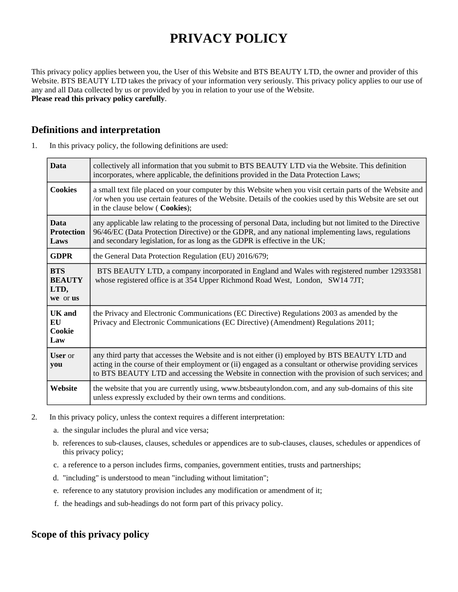# **PRIVACY POLICY**

This privacy policy applies between you, the User of this Website and BTS BEAUTY LTD, the owner and provider of this Website. BTS BEAUTY LTD takes the privacy of your information very seriously. This privacy policy applies to our use of any and all Data collected by us or provided by you in relation to your use of the Website. **Please read this privacy policy carefully**.

## **Definitions and interpretation**

1. In this privacy policy, the following definitions are used:

| <b>Data</b>                                     | collectively all information that you submit to BTS BEAUTY LTD via the Website. This definition<br>incorporates, where applicable, the definitions provided in the Data Protection Laws;                                                                                                                         |  |
|-------------------------------------------------|------------------------------------------------------------------------------------------------------------------------------------------------------------------------------------------------------------------------------------------------------------------------------------------------------------------|--|
| <b>Cookies</b>                                  | a small text file placed on your computer by this Website when you visit certain parts of the Website and<br>/or when you use certain features of the Website. Details of the cookies used by this Website are set out<br>in the clause below ( Cookies);                                                        |  |
| <b>Data</b><br><b>Protection</b><br>Laws        | any applicable law relating to the processing of personal Data, including but not limited to the Directive<br>96/46/EC (Data Protection Directive) or the GDPR, and any national implementing laws, regulations<br>and secondary legislation, for as long as the GDPR is effective in the UK;                    |  |
| <b>GDPR</b>                                     | the General Data Protection Regulation (EU) 2016/679;                                                                                                                                                                                                                                                            |  |
| <b>BTS</b><br><b>BEAUTY</b><br>LTD,<br>we or us | BTS BEAUTY LTD, a company incorporated in England and Wales with registered number 12933581<br>whose registered office is at 354 Upper Richmond Road West, London, SW14 7JT;                                                                                                                                     |  |
| <b>UK</b> and<br>EU<br>Cookie<br>Law            | the Privacy and Electronic Communications (EC Directive) Regulations 2003 as amended by the<br>Privacy and Electronic Communications (EC Directive) (Amendment) Regulations 2011;                                                                                                                                |  |
| <b>User</b> or<br>you                           | any third party that accesses the Website and is not either (i) employed by BTS BEAUTY LTD and<br>acting in the course of their employment or (ii) engaged as a consultant or otherwise providing services<br>to BTS BEAUTY LTD and accessing the Website in connection with the provision of such services; and |  |
| Website                                         | the website that you are currently using, www.btsbeautylondon.com, and any sub-domains of this site<br>unless expressly excluded by their own terms and conditions.                                                                                                                                              |  |

- 2. In this privacy policy, unless the context requires a different interpretation:
	- a. the singular includes the plural and vice versa;
	- b. references to sub-clauses, clauses, schedules or appendices are to sub-clauses, clauses, schedules or appendices of this privacy policy;
	- c. a reference to a person includes firms, companies, government entities, trusts and partnerships;
	- d. "including" is understood to mean "including without limitation";
	- e. reference to any statutory provision includes any modification or amendment of it;
	- f. the headings and sub-headings do not form part of this privacy policy.

# **Scope of this privacy policy**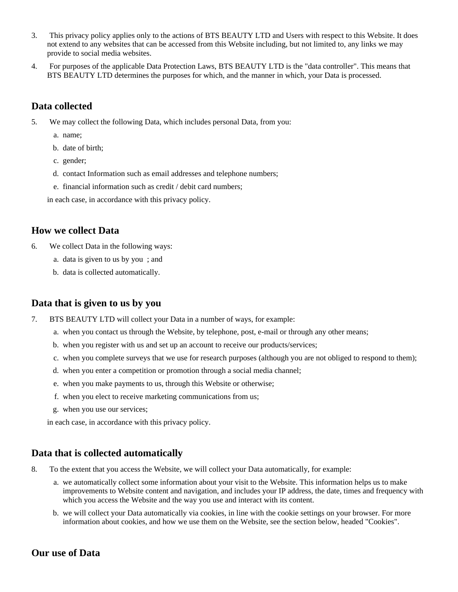- 3. This privacy policy applies only to the actions of BTS BEAUTY LTD and Users with respect to this Website. It does not extend to any websites that can be accessed from this Website including, but not limited to, any links we may provide to social media websites.
- 4. For purposes of the applicable Data Protection Laws, BTS BEAUTY LTD is the "data controller". This means that BTS BEAUTY LTD determines the purposes for which, and the manner in which, your Data is processed.

## **Data collected**

- 5. We may collect the following Data, which includes personal Data, from you:
	- a. name;
	- b. date of birth;
	- c. gender;
	- d. contact Information such as email addresses and telephone numbers;
	- e. financial information such as credit / debit card numbers;

in each case, in accordance with this privacy policy.

#### **How we collect Data**

- 6. We collect Data in the following ways:
	- a. data is given to us by you ; and
	- b. data is collected automatically.

## **Data that is given to us by you**

- 7. BTS BEAUTY LTD will collect your Data in a number of ways, for example:
	- a. when you contact us through the Website, by telephone, post, e-mail or through any other means;
	- b. when you register with us and set up an account to receive our products/services;
	- c. when you complete surveys that we use for research purposes (although you are not obliged to respond to them);
	- d. when you enter a competition or promotion through a social media channel;
	- e. when you make payments to us, through this Website or otherwise;
	- f. when you elect to receive marketing communications from us;
	- g. when you use our services;

in each case, in accordance with this privacy policy.

#### **Data that is collected automatically**

- 8. To the extent that you access the Website, we will collect your Data automatically, for example:
	- a. we automatically collect some information about your visit to the Website. This information helps us to make improvements to Website content and navigation, and includes your IP address, the date, times and frequency with which you access the Website and the way you use and interact with its content.
	- b. we will collect your Data automatically via cookies, in line with the cookie settings on your browser. For more information about cookies, and how we use them on the Website, see the section below, headed "Cookies".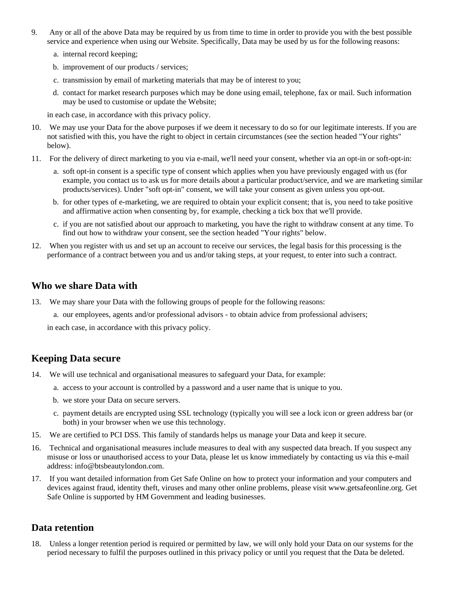- 9. Any or all of the above Data may be required by us from time to time in order to provide you with the best possible service and experience when using our Website. Specifically, Data may be used by us for the following reasons:
	- a. internal record keeping;
	- b. improvement of our products / services;
	- c. transmission by email of marketing materials that may be of interest to you;
	- d. contact for market research purposes which may be done using email, telephone, fax or mail. Such information may be used to customise or update the Website;

in each case, in accordance with this privacy policy.

- 10. We may use your Data for the above purposes if we deem it necessary to do so for our legitimate interests. If you are not satisfied with this, you have the right to object in certain circumstances (see the section headed "Your rights" below).
- 11. For the delivery of direct marketing to you via e-mail, we'll need your consent, whether via an opt-in or soft-opt-in:
	- a. soft opt-in consent is a specific type of consent which applies when you have previously engaged with us (for example, you contact us to ask us for more details about a particular product/service, and we are marketing similar products/services). Under "soft opt-in" consent, we will take your consent as given unless you opt-out.
	- b. for other types of e-marketing, we are required to obtain your explicit consent; that is, you need to take positive and affirmative action when consenting by, for example, checking a tick box that we'll provide.
	- c. if you are not satisfied about our approach to marketing, you have the right to withdraw consent at any time. To find out how to withdraw your consent, see the section headed "Your rights" below.
- 12. When you register with us and set up an account to receive our services, the legal basis for this processing is the performance of a contract between you and us and/or taking steps, at your request, to enter into such a contract.

#### **Who we share Data with**

- 13. We may share your Data with the following groups of people for the following reasons:
	- a. our employees, agents and/or professional advisors to obtain advice from professional advisers;

in each case, in accordance with this privacy policy.

## **Keeping Data secure**

- 14. We will use technical and organisational measures to safeguard your Data, for example:
	- a. access to your account is controlled by a password and a user name that is unique to you.
	- b. we store your Data on secure servers.
	- c. payment details are encrypted using SSL technology (typically you will see a lock icon or green address bar (or both) in your browser when we use this technology.
- 15. We are certified to PCI DSS. This family of standards helps us manage your Data and keep it secure.
- 16. Technical and organisational measures include measures to deal with any suspected data breach. If you suspect any misuse or loss or unauthorised access to your Data, please let us know immediately by contacting us via this e-mail address: info@btsbeautylondon.com.
- 17. If you want detailed information from Get Safe Online on how to protect your information and your computers and devices against fraud, identity theft, viruses and many other online problems, please visit www.getsafeonline.org. Get Safe Online is supported by HM Government and leading businesses.

## **Data retention**

18. Unless a longer retention period is required or permitted by law, we will only hold your Data on our systems for the period necessary to fulfil the purposes outlined in this privacy policy or until you request that the Data be deleted.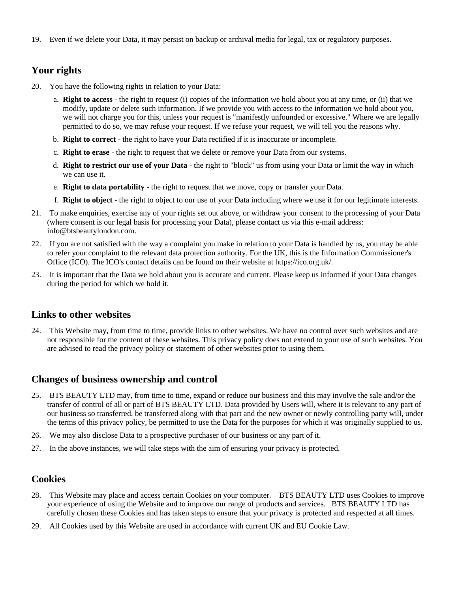19. Even if we delete your Data, it may persist on backup or archival media for legal, tax or regulatory purposes.

# **Your rights**

- 20. You have the following rights in relation to your Data:
	- a. **Right to access** the right to request (i) copies of the information we hold about you at any time, or (ii) that we modify, update or delete such information. If we provide you with access to the information we hold about you, we will not charge you for this, unless your request is "manifestly unfounded or excessive." Where we are legally permitted to do so, we may refuse your request. If we refuse your request, we will tell you the reasons why.
	- b. **Right to correct** the right to have your Data rectified if it is inaccurate or incomplete.
	- c. **Right to erase** the right to request that we delete or remove your Data from our systems.
	- d. **Right to restrict our use of your Data** the right to "block" us from using your Data or limit the way in which we can use it.
	- e. **Right to data portability** the right to request that we move, copy or transfer your Data.
	- f. **Right to object** the right to object to our use of your Data including where we use it for our legitimate interests.
- 21. To make enquiries, exercise any of your rights set out above, or withdraw your consent to the processing of your Data (where consent is our legal basis for processing your Data), please contact us via this e-mail address: info@btsbeautylondon.com.
- 22. If you are not satisfied with the way a complaint you make in relation to your Data is handled by us, you may be able to refer your complaint to the relevant data protection authority. For the UK, this is the Information Commissioner's Office (ICO). The ICO's contact details can be found on their website at https://ico.org.uk/.
- 23. It is important that the Data we hold about you is accurate and current. Please keep us informed if your Data changes during the period for which we hold it.

## **Links to other websites**

24. This Website may, from time to time, provide links to other websites. We have no control over such websites and are not responsible for the content of these websites. This privacy policy does not extend to your use of such websites. You are advised to read the privacy policy or statement of other websites prior to using them.

## **Changes of business ownership and control**

- 25. BTS BEAUTY LTD may, from time to time, expand or reduce our business and this may involve the sale and/or the transfer of control of all or part of BTS BEAUTY LTD. Data provided by Users will, where it is relevant to any part of our business so transferred, be transferred along with that part and the new owner or newly controlling party will, under the terms of this privacy policy, be permitted to use the Data for the purposes for which it was originally supplied to us.
- 26. We may also disclose Data to a prospective purchaser of our business or any part of it.
- 27. In the above instances, we will take steps with the aim of ensuring your privacy is protected.

## **Cookies**

- 28. This Website may place and access certain Cookies on your computer. BTS BEAUTY LTD uses Cookies to improve your experience of using the Website and to improve our range of products and services. BTS BEAUTY LTD has carefully chosen these Cookies and has taken steps to ensure that your privacy is protected and respected at all times.
- 29. All Cookies used by this Website are used in accordance with current UK and EU Cookie Law.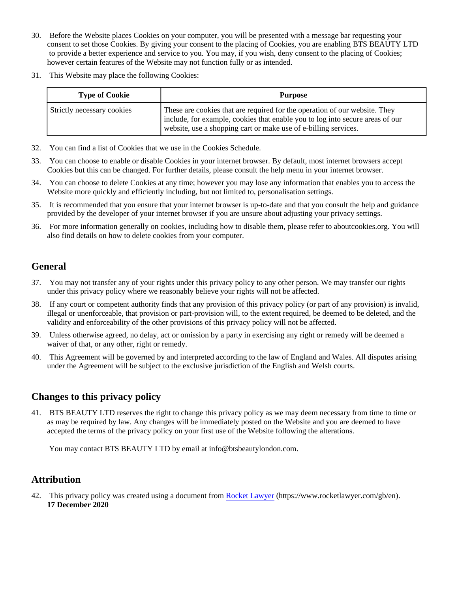- 30. Before the Website places Cookies on your computer, you will be presented with a message bar requesting your consent to set those Cookies. By giving your consent to the placing of Cookies, you are enabling BTS BEAUTY LTD to provide a better experience and service to you. You may, if you wish, deny consent to the placing of Cookies; however certain features of the Website may not function fully or as intended.
- 31. This Website may place the following Cookies:

| <b>Type of Cookie</b>      | <b>Purpose</b>                                                                                                                                                                                                                 |
|----------------------------|--------------------------------------------------------------------------------------------------------------------------------------------------------------------------------------------------------------------------------|
| Strictly necessary cookies | These are cookies that are required for the operation of our website. They<br>include, for example, cookies that enable you to log into secure areas of our<br>website, use a shopping cart or make use of e-billing services. |

- 32. You can find a list of Cookies that we use in the Cookies Schedule.
- 33. You can choose to enable or disable Cookies in your internet browser. By default, most internet browsers accept Cookies but this can be changed. For further details, please consult the help menu in your internet browser.
- 34. You can choose to delete Cookies at any time; however you may lose any information that enables you to access the Website more quickly and efficiently including, but not limited to, personalisation settings.
- 35. It is recommended that you ensure that your internet browser is up-to-date and that you consult the help and guidance provided by the developer of your internet browser if you are unsure about adjusting your privacy settings.
- 36. For more information generally on cookies, including how to disable them, please refer to aboutcookies.org. You will also find details on how to delete cookies from your computer.

# **General**

- 37. You may not transfer any of your rights under this privacy policy to any other person. We may transfer our rights under this privacy policy where we reasonably believe your rights will not be affected.
- 38. If any court or competent authority finds that any provision of this privacy policy (or part of any provision) is invalid, illegal or unenforceable, that provision or part-provision will, to the extent required, be deemed to be deleted, and the validity and enforceability of the other provisions of this privacy policy will not be affected.
- 39. Unless otherwise agreed, no delay, act or omission by a party in exercising any right or remedy will be deemed a waiver of that, or any other, right or remedy.
- 40. This Agreement will be governed by and interpreted according to the law of England and Wales. All disputes arising under the Agreement will be subject to the exclusive jurisdiction of the English and Welsh courts.

# **Changes to this privacy policy**

41. BTS BEAUTY LTD reserves the right to change this privacy policy as we may deem necessary from time to time or as may be required by law. Any changes will be immediately posted on the Website and you are deemed to have accepted the terms of the privacy policy on your first use of the Website following the alterations.

You may contact BTS BEAUTY LTD by email at info@btsbeautylondon.com.

# **Attribution**

42. This privacy policy was created using a document from [Rocket Lawyer](https://www.rocketlawyer.com/gb/en/) (https://www.rocketlawyer.com/gb/en). **17 December 2020**